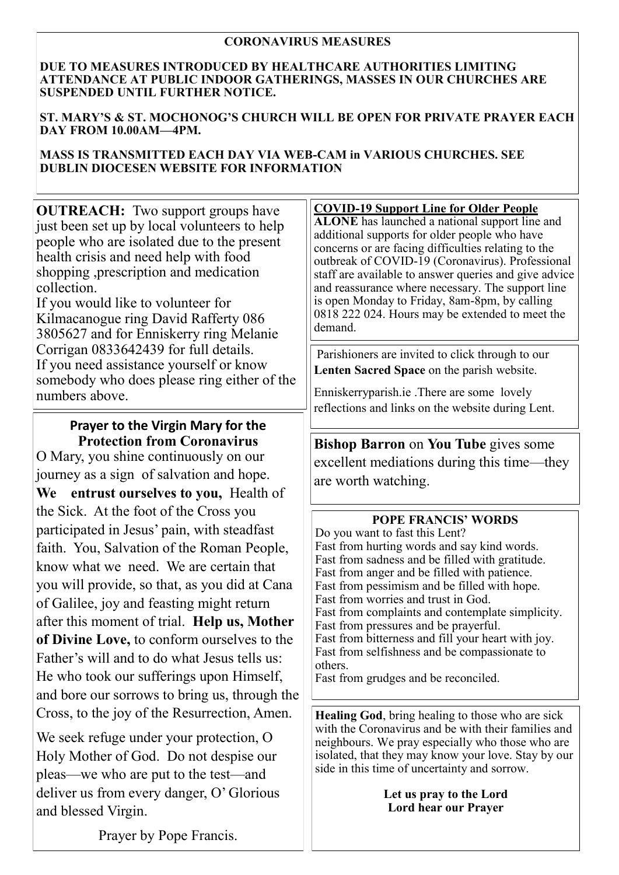### **CORONAVIRUS MEASURES**

#### **DUE TO MEASURES INTRODUCED BY HEALTHCARE AUTHORITIES LIMITING ATTENDANCE AT PUBLIC INDOOR GATHERINGS, MASSES IN OUR CHURCHES ARE SUSPENDED UNTIL FURTHER NOTICE.**

**ST. MARY'S & ST. MOCHONOG'S CHURCH WILL BE OPEN FOR PRIVATE PRAYER EACH DAY FROM 10.00AM—4PM.** 

### **MASS IS TRANSMITTED EACH DAY VIA WEB-CAM in VARIOUS CHURCHES. SEE DUBLIN DIOCESEN WEBSITE FOR INFORMATION**

**OUTREACH:** Two support groups have just been set up by local volunteers to help people who are isolated due to the present health crisis and need help with food shopping ,prescription and medication collection.

If you would like to volunteer for Kilmacanogue ring David Rafferty 086 3805627 and for Enniskerry ring Melanie Corrigan 0833642439 for full details. If you need assistance yourself or know somebody who does please ring either of the numbers above.

# **Prayer to the Virgin Mary for the Protection from Coronavirus**

O Mary, you shine continuously on our journey as a sign of salvation and hope. **We entrust ourselves to you,** Health of the Sick. At the foot of the Cross you participated in Jesus' pain, with steadfast faith. You, Salvation of the Roman People, know what we need. We are certain that you will provide, so that, as you did at Cana of Galilee, joy and feasting might return after this moment of trial. **Help us, Mother of Divine Love,** to conform ourselves to the Father's will and to do what Jesus tells us: He who took our sufferings upon Himself, and bore our sorrows to bring us, through the Cross, to the joy of the Resurrection, Amen.

We seek refuge under your protection, O Holy Mother of God. Do not despise our pleas—we who are put to the test—and deliver us from every danger, O' Glorious and blessed Virgin.

#### **COVID-19 Support Line for Older People**

**ALONE** has launched a national support line and additional supports for older people who have concerns or are facing difficulties relating to the outbreak of COVID-19 (Coronavirus). Professional staff are available to answer queries and give advice and reassurance where necessary. The support line is open Monday to Friday, 8am-8pm, by calling 0818 222 024. Hours may be extended to meet the demand.

Parishioners are invited to click through to our **Lenten Sacred Space** on the parish website.

Enniskerryparish.ie .There are some lovely reflections and links on the website during Lent.

**Bishop Barron** on **You Tube** gives some excellent mediations during this time—they are worth watching.

## **POPE FRANCIS' WORDS**

Do you want to fast this Lent? Fast from hurting words and say kind words. Fast from sadness and be filled with gratitude. Fast from anger and be filled with patience. Fast from pessimism and be filled with hope. Fast from worries and trust in God. Fast from complaints and contemplate simplicity. Fast from pressures and be prayerful. Fast from bitterness and fill your heart with joy. Fast from selfishness and be compassionate to others.

Fast from grudges and be reconciled.

**Healing God**, bring healing to those who are sick with the Coronavirus and be with their families and neighbours. We pray especially who those who are isolated, that they may know your love. Stay by our side in this time of uncertainty and sorrow.

### **Let us pray to the Lord Lord hear our Prayer**

Prayer by Pope Francis.